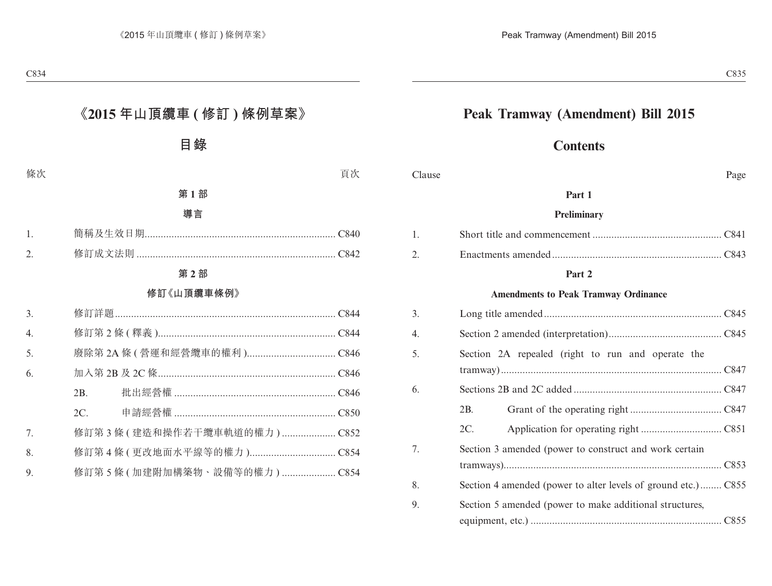## **Peak Tramway (Amendment) Bill 2015**

## **Contents**

#### Clause Page

#### **Part 1**

#### **Preliminary**

#### **Part 2**

#### **Amendments to Peak Tramway Ordinance**

| 3. |                                                               |
|----|---------------------------------------------------------------|
| 4. |                                                               |
| 5. | Section 2A repealed (right to run and operate the             |
| 6. |                                                               |
|    | 2B.                                                           |
|    | 2C.                                                           |
| 7. | Section 3 amended (power to construct and work certain        |
|    |                                                               |
| 8. | Section 4 amended (power to alter levels of ground etc.) C855 |
| 9. | Section 5 amended (power to make additional structures,       |
|    |                                                               |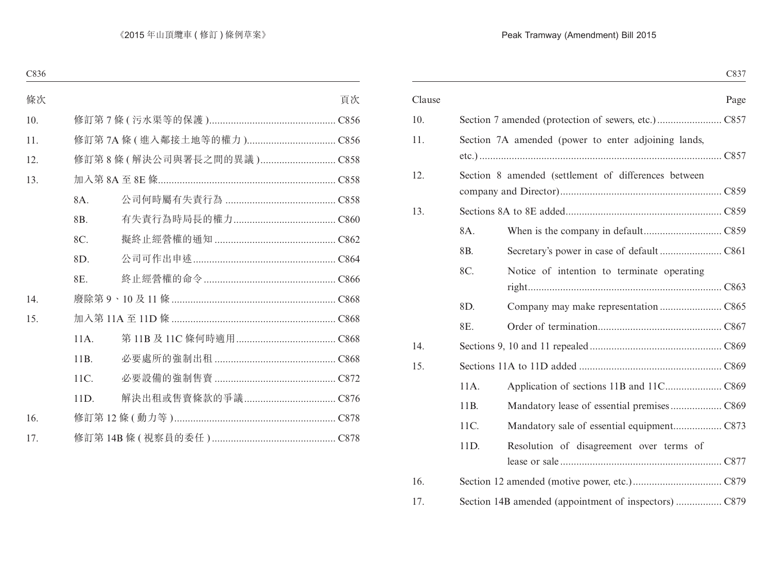|        |                |                                                      | C837 |
|--------|----------------|------------------------------------------------------|------|
| Clause |                |                                                      | Page |
| 10.    |                |                                                      |      |
| 11.    |                | Section 7A amended (power to enter adjoining lands,  |      |
|        |                |                                                      |      |
| 12.    |                | Section 8 amended (settlement of differences between |      |
|        |                |                                                      |      |
| 13.    |                |                                                      |      |
|        | 8A.            |                                                      |      |
|        | 8 <sub>B</sub> |                                                      |      |
|        | 8C.            | Notice of intention to terminate operating           |      |
|        |                |                                                      |      |
|        | 8D.            |                                                      |      |
|        | 8E.            |                                                      |      |
| 14.    |                |                                                      |      |
| 15.    |                |                                                      |      |
|        | 11A.           |                                                      |      |
|        | 11B.           |                                                      |      |
|        | 11C.           |                                                      |      |
|        | 11D.           | Resolution of disagreement over terms of             |      |
|        |                |                                                      |      |
| 16.    |                |                                                      |      |
| 17.    |                |                                                      |      |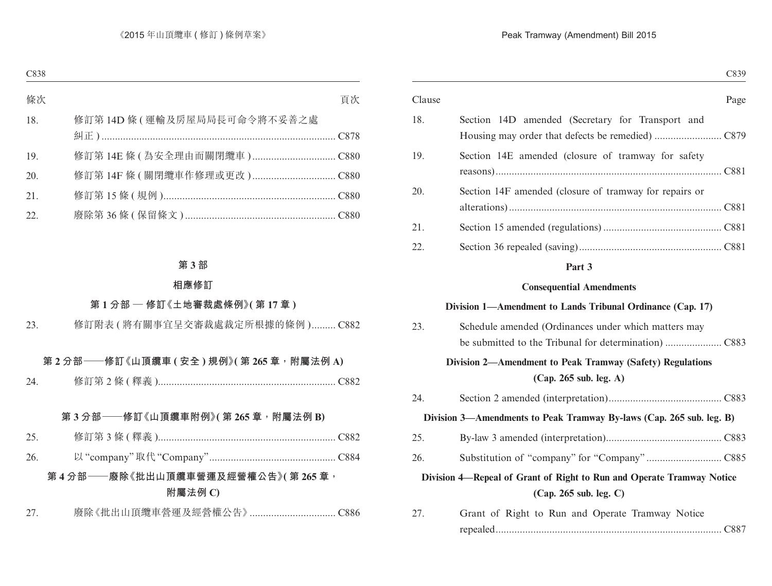| Clause |                                                                       | Page |
|--------|-----------------------------------------------------------------------|------|
| 18.    | Section 14D amended (Secretary for Transport and                      |      |
| 19.    | Section 14E amended (closure of tramway for safety                    |      |
|        |                                                                       |      |
| 20.    | Section 14F amended (closure of tramway for repairs or                |      |
|        |                                                                       |      |
| 21.    |                                                                       |      |
| 22.    |                                                                       |      |
|        | Part 3                                                                |      |
|        | <b>Consequential Amendments</b>                                       |      |
|        | Division 1—Amendment to Lands Tribunal Ordinance (Cap. 17)            |      |
| 23.    | Schedule amended (Ordinances under which matters may                  |      |
|        |                                                                       |      |
|        | Division 2—Amendment to Peak Tramway (Safety) Regulations             |      |
|        | (Cap. 265 sub. leg. A)                                                |      |
| 24.    |                                                                       |      |
|        | Division 3—Amendments to Peak Tramway By-laws (Cap. 265 sub. leg. B)  |      |
| 25.    |                                                                       |      |
| 26.    |                                                                       |      |
|        | Division 4—Repeal of Grant of Right to Run and Operate Tramway Notice |      |
|        | (Cap. 265 sub. leg. C)                                                |      |
| 27.    | Grant of Right to Run and Operate Tramway Notice                      |      |

| Stand of Right to Ran and Operate Hammay Foute |  |
|------------------------------------------------|--|
|                                                |  |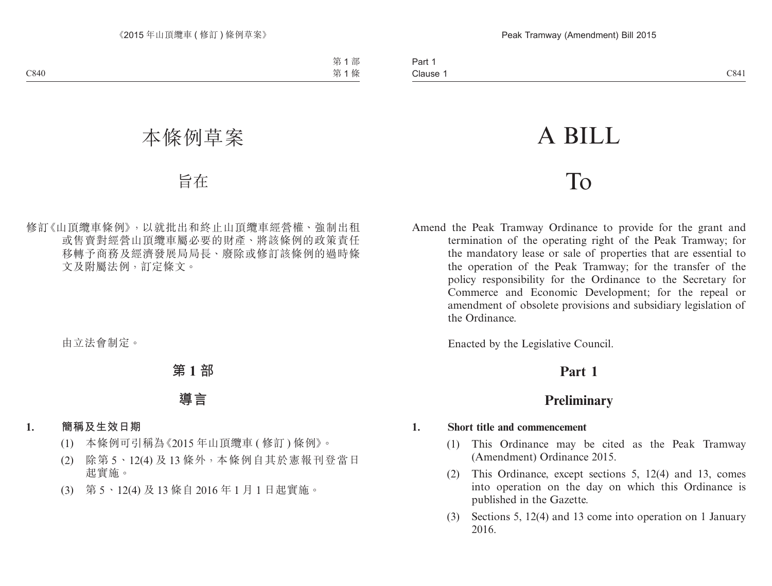# A BILL

## To

Amend the Peak Tramway Ordinance to provide for the grant and termination of the operating right of the Peak Tramway; for the mandatory lease or sale of properties that are essential to the operation of the Peak Tramway; for the transfer of the policy responsibility for the Ordinance to the Secretary for Commerce and Economic Development; for the repeal or amendment of obsolete provisions and subsidiary legislation of the Ordinance.

Enacted by the Legislative Council.

## **Part 1**

## **Preliminary**

#### **1. Short title and commencement**

- (1) This Ordinance may be cited as the Peak Tramway (Amendment) Ordinance 2015.
- (2) This Ordinance, except sections 5, 12(4) and 13, comes into operation on the day on which this Ordinance is published in the Gazette.
- (3) Sections 5, 12(4) and 13 come into operation on 1 January 2016.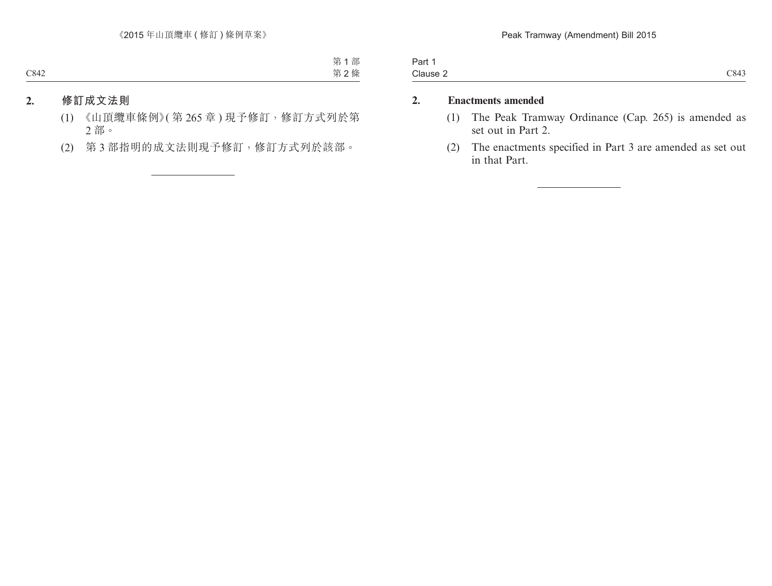| Part 1   |      |
|----------|------|
| Clause 2 | C843 |

#### **2. Enactments amended**

- (1) The Peak Tramway Ordinance (Cap. 265) is amended as set out in Part 2.
- (2) The enactments specified in Part 3 are amended as set out in that Part.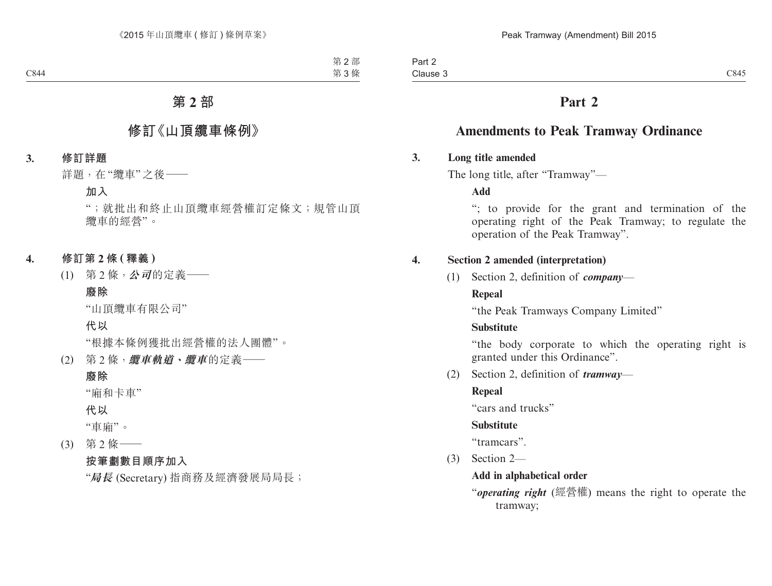## **Part 2**

## **Amendments to Peak Tramway Ordinance**

#### **3. Long title amended**

The long title, after "Tramway"—

**Add**

"; to provide for the grant and termination of the operating right of the Peak Tramway; to regulate the operation of the Peak Tramway".

#### **4. Section 2 amended (interpretation)**

(1) Section 2, definition of *company*—

#### **Repeal**

"the Peak Tramways Company Limited"

#### **Substitute**

"the body corporate to which the operating right is granted under this Ordinance".

(2) Section 2, definition of *tramway*—

#### **Repeal**

"cars and trucks"

#### **Substitute**

"tramcars".

(3) Section 2—

#### **Add in alphabetical order**

"*operating right* (經營權) means the right to operate the tramway;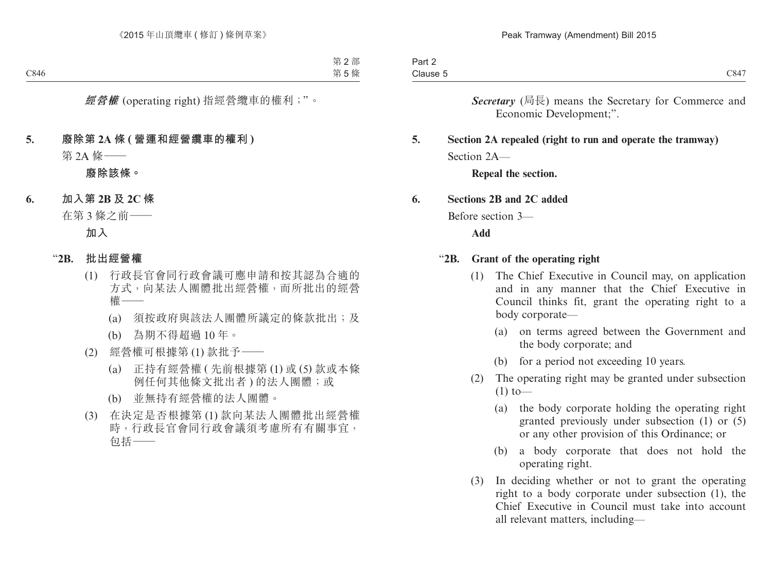| Part 2   |        |
|----------|--------|
| Clause 5 | 'X4' i |

*Secretary* (局長) means the Secretary for Commerce and Economic Development;".

## **5. Section 2A repealed (right to run and operate the tramway)** Section  $2A$ —

**Repeal the section.**

#### **6. Sections 2B and 2C added**

Before section 3—

**Add**

#### "**2B. Grant of the operating right**

- (1) The Chief Executive in Council may, on application and in any manner that the Chief Executive in Council thinks fit, grant the operating right to a body corporate—
	- (a) on terms agreed between the Government and the body corporate; and
	- (b) for a period not exceeding 10 years.
- (2) The operating right may be granted under subsection  $(1)$  to —
	- (a) the body corporate holding the operating right granted previously under subsection (1) or (5) or any other provision of this Ordinance; or
	- (b) a body corporate that does not hold the operating right.
- (3) In deciding whether or not to grant the operating right to a body corporate under subsection (1), the Chief Executive in Council must take into account all relevant matters, including—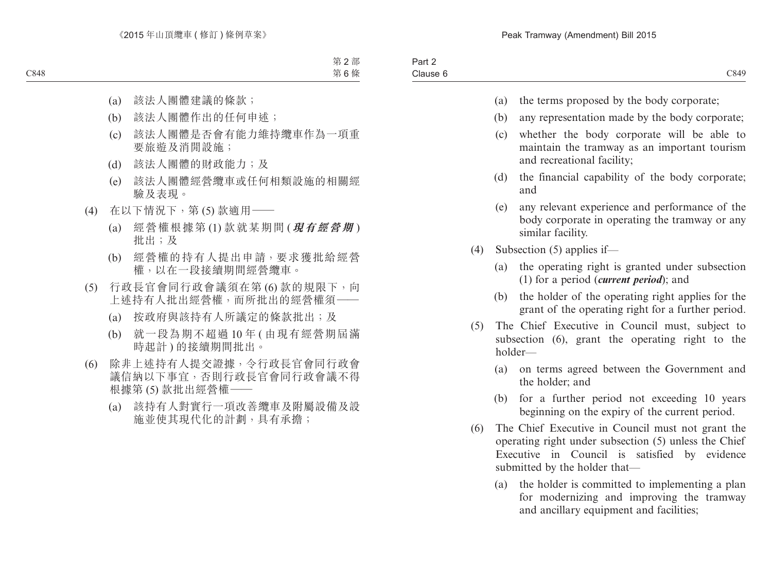| Part 2   |  |
|----------|--|
| Clause 6 |  |

- (a) the terms proposed by the body corporate;
- (b) any representation made by the body corporate;
- (c) whether the body corporate will be able to maintain the tramway as an important tourism and recreational facility;
- (d) the financial capability of the body corporate; and
- (e) any relevant experience and performance of the body corporate in operating the tramway or any similar facility.
- (4) Subsection (5) applies if—
	- (a) the operating right is granted under subsection (1) for a period (*current period*); and
	- (b) the holder of the operating right applies for the grant of the operating right for a further period.
- (5) The Chief Executive in Council must, subject to subsection (6), grant the operating right to the holder—
	- (a) on terms agreed between the Government and the holder; and
	- (b) for a further period not exceeding 10 years beginning on the expiry of the current period.
- (6) The Chief Executive in Council must not grant the operating right under subsection (5) unless the Chief Executive in Council is satisfied by evidence submitted by the holder that—
	- (a) the holder is committed to implementing a plan for modernizing and improving the tramway and ancillary equipment and facilities;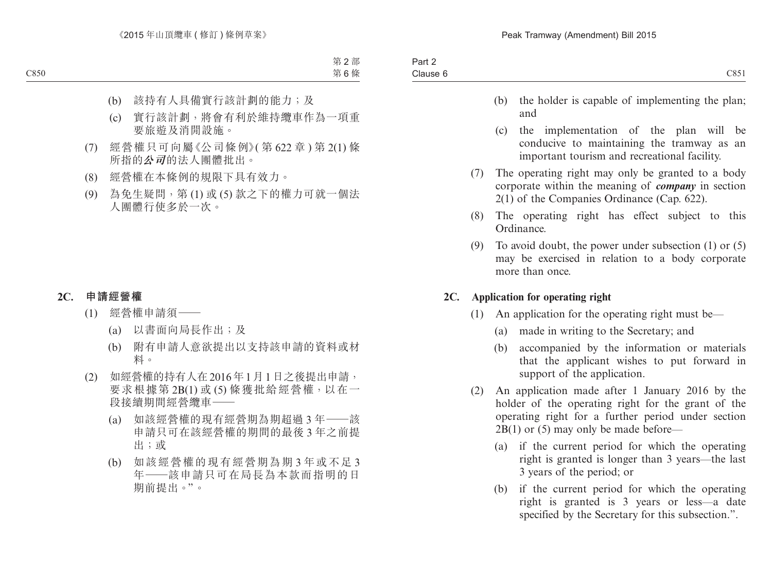- (b) the holder is capable of implementing the plan; and
- (c) the implementation of the plan will be conducive to maintaining the tramway as an important tourism and recreational facility.
- (7) The operating right may only be granted to a body corporate within the meaning of *company* in section 2(1) of the Companies Ordinance (Cap. 622).
- (8) The operating right has effect subject to this Ordinance.
- (9) To avoid doubt, the power under subsection (1) or (5) may be exercised in relation to a body corporate more than once.

#### **2C. Application for operating right**

- (1) An application for the operating right must be—
	- (a) made in writing to the Secretary; and
	- (b) accompanied by the information or materials that the applicant wishes to put forward in support of the application.
- (2) An application made after 1 January 2016 by the holder of the operating right for the grant of the operating right for a further period under section 2B(1) or (5) may only be made before—
	- (a) if the current period for which the operating right is granted is longer than 3 years—the last 3 years of the period; or
	- (b) if the current period for which the operating right is granted is 3 years or less—a date specified by the Secretary for this subsection.".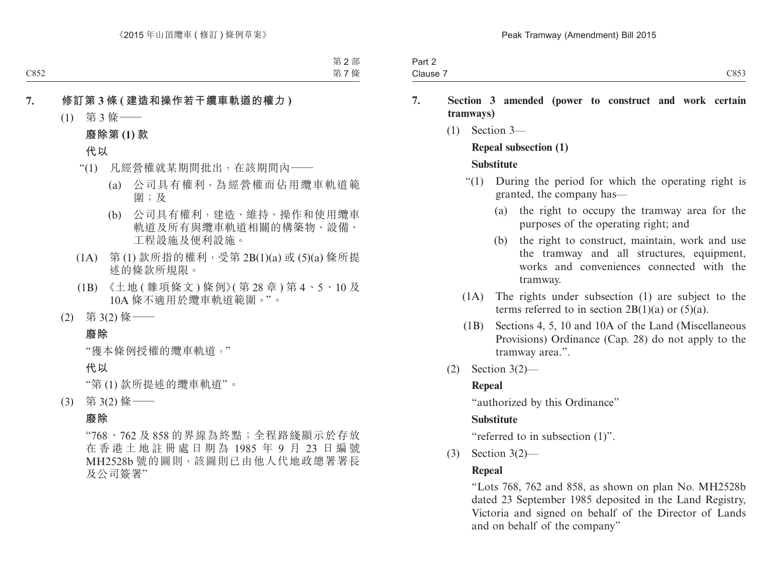| Part 2   |      |
|----------|------|
| Clause 7 | 2853 |

- **7. Section 3 amended (power to construct and work certain tramways)**
	- (1) Section 3—

#### **Repeal subsection (1)**

#### **Substitute**

- "(1) During the period for which the operating right is granted, the company has—
	- (a) the right to occupy the tramway area for the purposes of the operating right; and
	- (b) the right to construct, maintain, work and use the tramway and all structures, equipment, works and conveniences connected with the tramway.
- (1A) The rights under subsection (1) are subject to the terms referred to in section  $2B(1)(a)$  or  $(5)(a)$ .
- (1B) Sections 4, 5, 10 and 10A of the Land (Miscellaneous Provisions) Ordinance (Cap. 28) do not apply to the tramway area.".
- (2) Section 3(2)—

#### **Repeal**

"authorized by this Ordinance"

## **Substitute**

"referred to in subsection (1)".

(3) Section 3(2)—

## **Repeal**

"Lots 768, 762 and 858, as shown on plan No. MH2528b dated 23 September 1985 deposited in the Land Registry, Victoria and signed on behalf of the Director of Lands and on behalf of the company"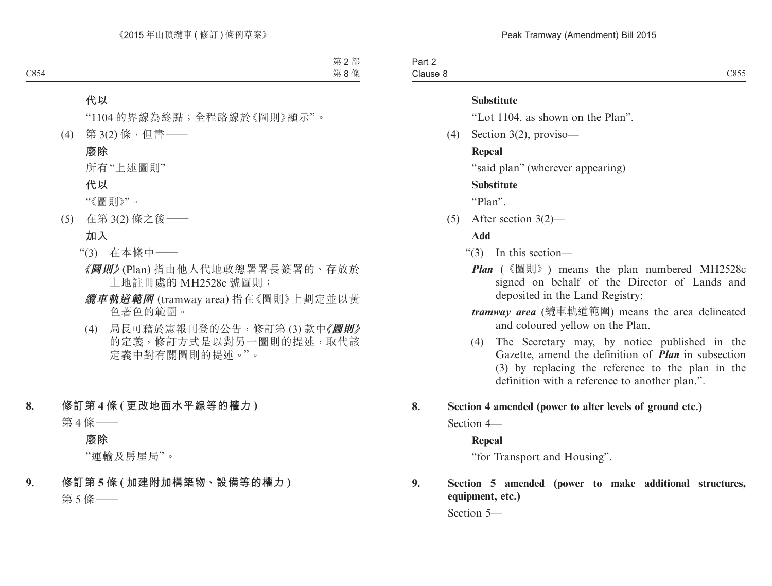Part 2 Clause 8

#### **Substitute**

"Lot 1104, as shown on the Plan".

(4) Section 3(2), proviso—

#### **Repeal**

"said plan" (wherever appearing)

#### **Substitute**

"Plan".

(5) After section 3(2)—

#### **Add**

- "(3) In this section—
	- *Plan* (《圖則》) means the plan numbered MH2528c signed on behalf of the Director of Lands and deposited in the Land Registry;
	- *tramway area* (纜車軌道範圍) means the area delineated and coloured yellow on the Plan.
	- (4) The Secretary may, by notice published in the Gazette, amend the definition of *Plan* in subsection (3) by replacing the reference to the plan in the definition with a reference to another plan.".

#### **8. Section 4 amended (power to alter levels of ground etc.)**

Section 4—

#### **Repeal**

"for Transport and Housing".

#### **9. Section 5 amended (power to make additional structures, equipment, etc.)**

Section 5—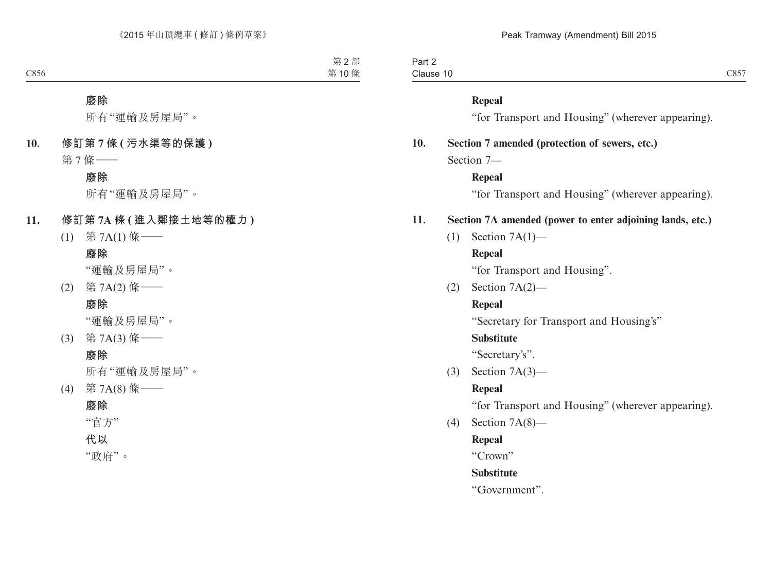| Part 2    |  |
|-----------|--|
| Clause 10 |  |

#### **Repeal**

"for Transport and Housing" (wherever appearing).

#### **10. Section 7 amended (protection of sewers, etc.)**

Section 7—

#### **Repeal**

"for Transport and Housing" (wherever appearing).

#### **11. Section 7A amended (power to enter adjoining lands, etc.)**

(1) Section 7A(1)—

#### **Repeal**

"for Transport and Housing".

(2) Section 7A(2)—

#### **Repeal**

"Secretary for Transport and Housing's"

#### **Substitute**

"Secretary's".

(3) Section 7A(3)—

#### **Repeal**

"for Transport and Housing" (wherever appearing).

(4) Section 7A(8)—

#### **Repeal**

"Crown"

#### **Substitute**

"Government".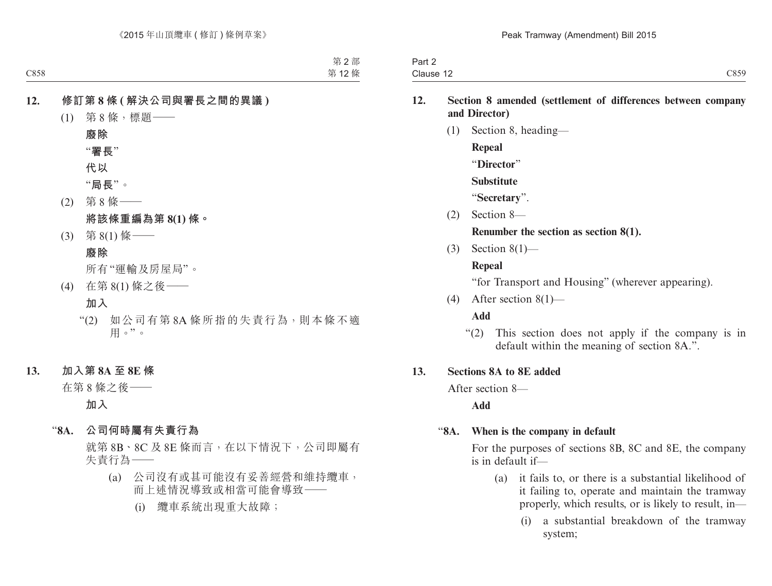| Part 2    |  |
|-----------|--|
| Clause 12 |  |

#### **12. Section 8 amended (settlement of differences between company and Director)**

(1) Section 8, heading— **Repeal** "**Director**" **Substitute** "**Secretary**". (2) Section 8—

#### **Renumber the section as section 8(1).**

(3) Section 8(1)—

#### **Repeal**

"for Transport and Housing" (wherever appearing).

(4) After section 8(1)—

#### **Add**

"(2) This section does not apply if the company is in default within the meaning of section 8A.".

#### **13. Sections 8A to 8E added**

After section 8—

**Add**

#### "**8A. When is the company in default**

For the purposes of sections 8B, 8C and 8E, the company is in default if—

- (a) it fails to, or there is a substantial likelihood of it failing to, operate and maintain the tramway properly, which results, or is likely to result, in—
	- (i) a substantial breakdown of the tramway system;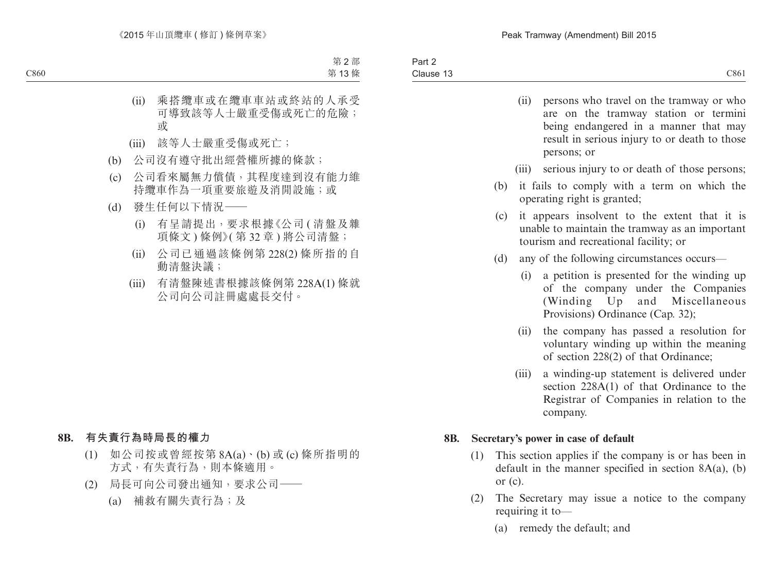|     |     | (ii)<br>persons who travel on the tramway or who<br>are on the tramway station or termini<br>being endangered in a manner that may<br>result in serious injury to or death to those<br>persons; or                 |
|-----|-----|--------------------------------------------------------------------------------------------------------------------------------------------------------------------------------------------------------------------|
|     |     | serious injury to or death of those persons;<br>(iii)                                                                                                                                                              |
|     |     | it fails to comply with a term on which the<br>(b)<br>operating right is granted;                                                                                                                                  |
|     |     | it appears insolvent to the extent that it is<br>(c)<br>unable to maintain the tramway as an important<br>tourism and recreational facility; or                                                                    |
|     |     | (d)<br>any of the following circumstances occurs—                                                                                                                                                                  |
|     |     | a petition is presented for the winding up<br>(i)<br>of the company under the Companies<br>(Winding Up<br>and Miscellaneous<br>Provisions) Ordinance (Cap. 32);<br>the company has passed a resolution for<br>(ii) |
|     |     | voluntary winding up within the meaning<br>of section 228(2) of that Ordinance;                                                                                                                                    |
|     |     | a winding-up statement is delivered under<br>(iii)<br>section 228A(1) of that Ordinance to the<br>Registrar of Companies in relation to the<br>company.                                                            |
| 8B. |     | Secretary's power in case of default                                                                                                                                                                               |
|     | (1) | This section applies if the company is or has been in<br>default in the manner specified in section $8A(a)$ , (b)<br>or $(c)$ .                                                                                    |
|     | (2) | The Secretary may issue a notice to the company<br>requiring it to-                                                                                                                                                |

(a) remedy the default; and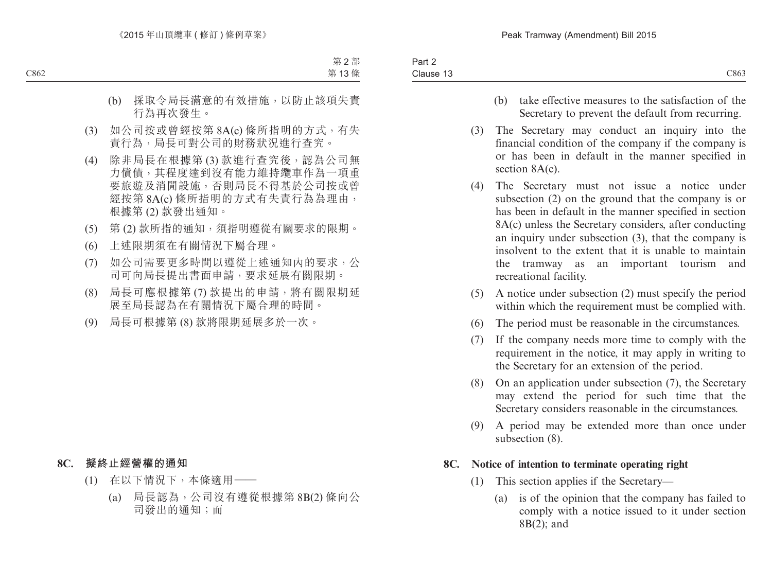- (b) take effective measures to the satisfaction of the Secretary to prevent the default from recurring.
- (3) The Secretary may conduct an inquiry into the financial condition of the company if the company is or has been in default in the manner specified in section 8A(c).
- (4) The Secretary must not issue a notice under subsection (2) on the ground that the company is or has been in default in the manner specified in section 8A(c) unless the Secretary considers, after conducting an inquiry under subsection (3), that the company is insolvent to the extent that it is unable to maintain the tramway as an important tourism and recreational facility.
- (5) A notice under subsection (2) must specify the period within which the requirement must be complied with.
- (6) The period must be reasonable in the circumstances.
- (7) If the company needs more time to comply with the requirement in the notice, it may apply in writing to the Secretary for an extension of the period.
- (8) On an application under subsection (7), the Secretary may extend the period for such time that the Secretary considers reasonable in the circumstances.
- (9) A period may be extended more than once under subsection (8).

## **8C. Notice of intention to terminate operating right**

- (1) This section applies if the Secretary—
	- (a) is of the opinion that the company has failed to comply with a notice issued to it under section 8B(2); and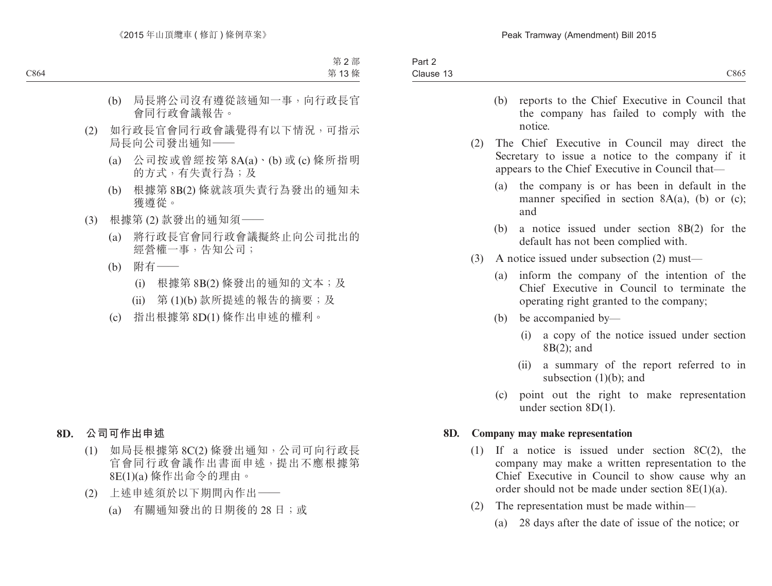- (b) reports to the Chief Executive in Council that the company has failed to comply with the notice.
- (2) The Chief Executive in Council may direct the Secretary to issue a notice to the company if it appears to the Chief Executive in Council that—
	- (a) the company is or has been in default in the manner specified in section 8A(a), (b) or (c); and
	- (b) a notice issued under section 8B(2) for the default has not been complied with.
- (3) A notice issued under subsection (2) must—
	- (a) inform the company of the intention of the Chief Executive in Council to terminate the operating right granted to the company;
	- (b) be accompanied by—
		- (i) a copy of the notice issued under section 8B(2); and
		- (ii) a summary of the report referred to in subsection  $(1)(b)$ ; and
	- (c) point out the right to make representation under section 8D(1).

#### **8D. Company may make representation**

- (1) If a notice is issued under section 8C(2), the company may make a written representation to the Chief Executive in Council to show cause why an order should not be made under section 8E(1)(a).
- (2) The representation must be made within—
	- (a) 28 days after the date of issue of the notice; or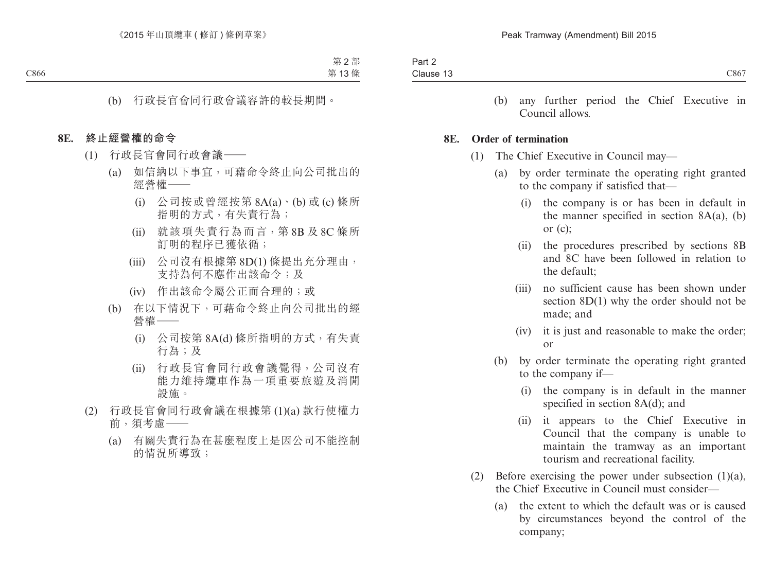(b) any further period the Chief Executive in Council allows.

#### **8E. Order of termination**

- (1) The Chief Executive in Council may—
	- (a) by order terminate the operating right granted to the company if satisfied that—
		- (i) the company is or has been in default in the manner specified in section  $8A(a)$ , (b) or (c);
		- (ii) the procedures prescribed by sections 8B and 8C have been followed in relation to the default;
		- (iii) no sufficient cause has been shown under section 8D(1) why the order should not be made; and
		- (iv) it is just and reasonable to make the order; or
	- (b) by order terminate the operating right granted to the company if—
		- (i) the company is in default in the manner specified in section 8A(d); and
		- (ii) it appears to the Chief Executive in Council that the company is unable to maintain the tramway as an important tourism and recreational facility.
- (2) Before exercising the power under subsection  $(1)(a)$ , the Chief Executive in Council must consider—
	- (a) the extent to which the default was or is caused by circumstances beyond the control of the company;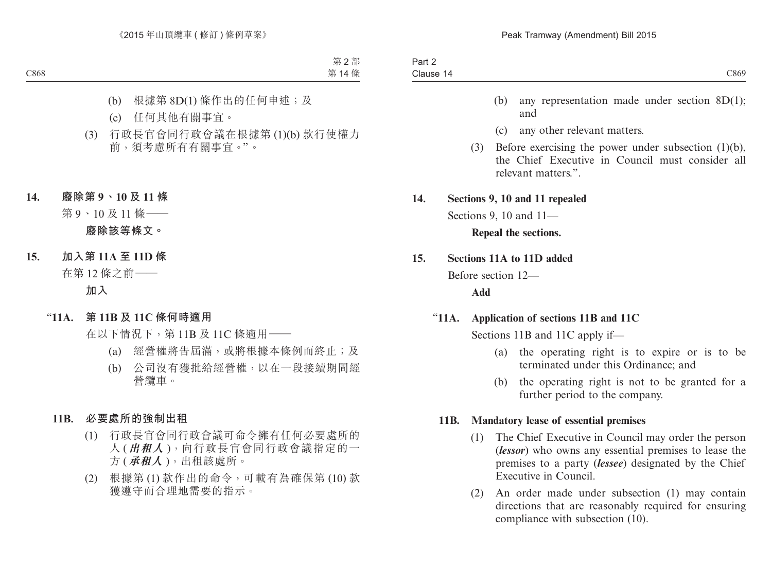- (b) any representation made under section 8D(1); and
- (c) any other relevant matters.
- (3) Before exercising the power under subsection (1)(b), the Chief Executive in Council must consider all relevant matters.".

#### **14. Sections 9, 10 and 11 repealed**

Sections 9, 10 and 11—

**Repeal the sections.**

#### **15. Sections 11A to 11D added**

Before section 12—

**Add**

#### "**11A. Application of sections 11B and 11C**

Sections 11B and 11C apply if—

- (a) the operating right is to expire or is to be terminated under this Ordinance; and
- (b) the operating right is not to be granted for a further period to the company.

#### **11B. Mandatory lease of essential premises**

- (1) The Chief Executive in Council may order the person (*lessor*) who owns any essential premises to lease the premises to a party (*lessee*) designated by the Chief Executive in Council.
- (2) An order made under subsection (1) may contain directions that are reasonably required for ensuring compliance with subsection (10).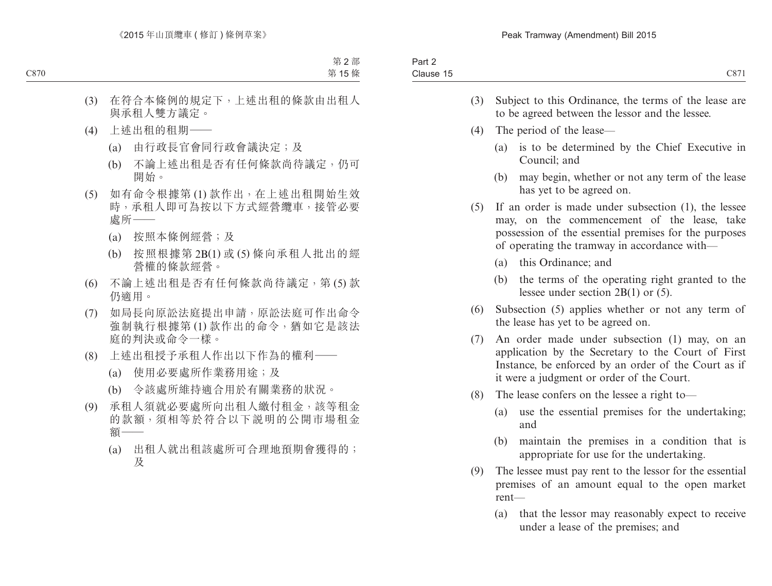| Part 2<br>Clause 15 |                                             | C871                                                                                                                                                                                                         |
|---------------------|---------------------------------------------|--------------------------------------------------------------------------------------------------------------------------------------------------------------------------------------------------------------|
|                     | (3)                                         | Subject to this Ordinance, the terms of the lease are<br>to be agreed between the lessor and the lessee.                                                                                                     |
| (4)                 |                                             | The period of the lease—                                                                                                                                                                                     |
|                     |                                             | is to be determined by the Chief Executive in<br>(a)<br>Council; and                                                                                                                                         |
|                     |                                             | may begin, whether or not any term of the lease<br>(b)<br>has yet to be agreed on.                                                                                                                           |
| (5)                 |                                             | If an order is made under subsection (1), the lessee<br>may, on the commencement of the lease, take<br>possession of the essential premises for the purposes<br>of operating the tramway in accordance with— |
|                     |                                             | (a) this Ordinance; and                                                                                                                                                                                      |
|                     |                                             | (b)<br>the terms of the operating right granted to the<br>lessee under section $2B(1)$ or (5).                                                                                                               |
|                     | (6)                                         | Subsection (5) applies whether or not any term of<br>the lease has yet to be agreed on.                                                                                                                      |
|                     | (7)                                         | An order made under subsection (1) may, on an<br>application by the Secretary to the Court of First<br>Instance, be enforced by an order of the Court as if<br>it were a judgment or order of the Court.     |
| (8)                 | The lease confers on the lessee a right to- |                                                                                                                                                                                                              |
|                     |                                             | use the essential premises for the undertaking;<br>(a)<br>and                                                                                                                                                |
|                     |                                             | (b)<br>maintain the premises in a condition that is<br>appropriate for use for the undertaking.                                                                                                              |

- (9) The lessee must pay rent to the lessor for the essential premises of an amount equal to the open market rent—
	- (a) that the lessor may reasonably expect to receive under a lease of the premises; and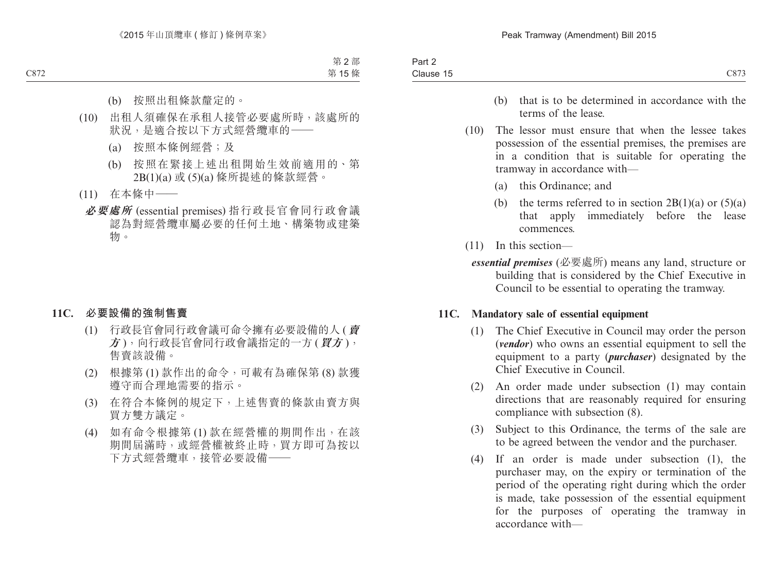- (b) that is to be determined in accordance with the terms of the lease.
- (10) The lessor must ensure that when the lessee takes possession of the essential premises, the premises are in a condition that is suitable for operating the tramway in accordance with—
	- (a) this Ordinance; and
	- (b) the terms referred to in section  $2B(1)(a)$  or  $(5)(a)$ that apply immediately before the lease commences.
- (11) In this section
	- *essential premises* (必要處所) means any land, structure or building that is considered by the Chief Executive in Council to be essential to operating the tramway.

#### **11C. Mandatory sale of essential equipment**

- (1) The Chief Executive in Council may order the person (*vendor*) who owns an essential equipment to sell the equipment to a party (*purchaser*) designated by the Chief Executive in Council.
- (2) An order made under subsection (1) may contain directions that are reasonably required for ensuring compliance with subsection (8).
- (3) Subject to this Ordinance, the terms of the sale are to be agreed between the vendor and the purchaser.
- (4) If an order is made under subsection (1), the purchaser may, on the expiry or termination of the period of the operating right during which the order is made, take possession of the essential equipment for the purposes of operating the tramway in accordance with—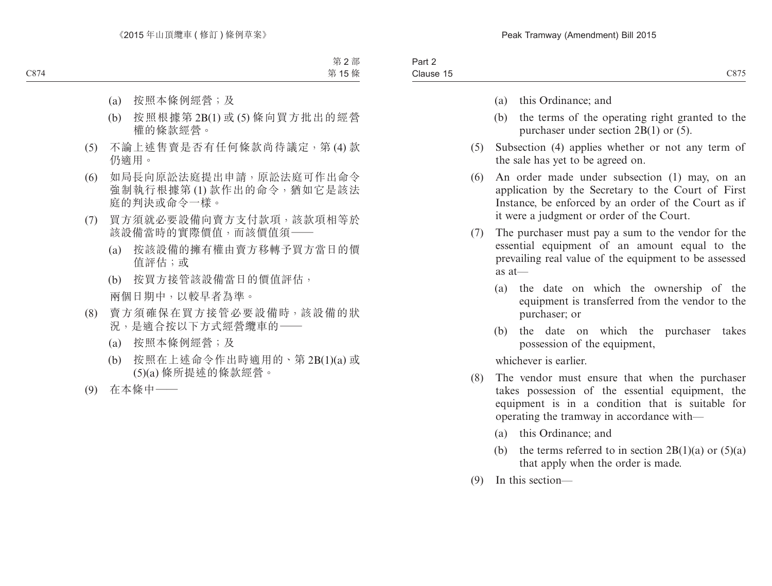- (a) this Ordinance; and
- (b) the terms of the operating right granted to the purchaser under section 2B(1) or (5).
- (5) Subsection (4) applies whether or not any term of the sale has yet to be agreed on.
- (6) An order made under subsection (1) may, on an application by the Secretary to the Court of First Instance, be enforced by an order of the Court as if it were a judgment or order of the Court.
- (7) The purchaser must pay a sum to the vendor for the essential equipment of an amount equal to the prevailing real value of the equipment to be assessed as at—
	- (a) the date on which the ownership of the equipment is transferred from the vendor to the purchaser; or
	- (b) the date on which the purchaser takes possession of the equipment,

whichever is earlier.

- (8) The vendor must ensure that when the purchaser takes possession of the essential equipment, the equipment is in a condition that is suitable for operating the tramway in accordance with—
	- (a) this Ordinance; and
	- (b) the terms referred to in section  $2B(1)(a)$  or  $(5)(a)$ that apply when the order is made.
- (9) In this section—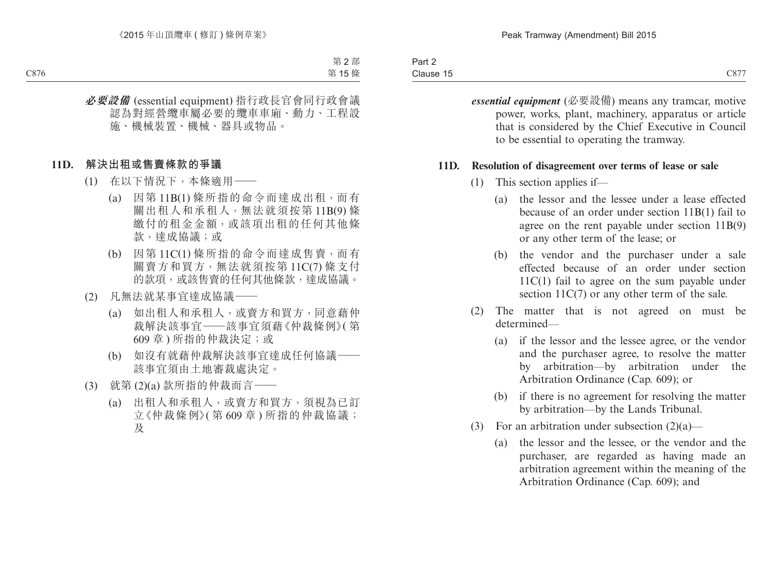| Part 2    |  |
|-----------|--|
| Clause 15 |  |

*essential equipment* (必要設備) means any tramcar, motive power, works, plant, machinery, apparatus or article that is considered by the Chief Executive in Council to be essential to operating the tramway.

#### **11D. Resolution of disagreement over terms of lease or sale**

- (1) This section applies if—
	- (a) the lessor and the lessee under a lease effected because of an order under section 11B(1) fail to agree on the rent payable under section 11B(9) or any other term of the lease; or
	- (b) the vendor and the purchaser under a sale effected because of an order under section 11C(1) fail to agree on the sum payable under section  $11C(7)$  or any other term of the sale.
- (2) The matter that is not agreed on must be determined—
	- (a) if the lessor and the lessee agree, or the vendor and the purchaser agree, to resolve the matter by arbitration—by arbitration under the Arbitration Ordinance (Cap. 609); or
	- (b) if there is no agreement for resolving the matter by arbitration—by the Lands Tribunal.
- (3) For an arbitration under subsection  $(2)(a)$ 
	- (a) the lessor and the lessee, or the vendor and the purchaser, are regarded as having made an arbitration agreement within the meaning of the Arbitration Ordinance (Cap. 609); and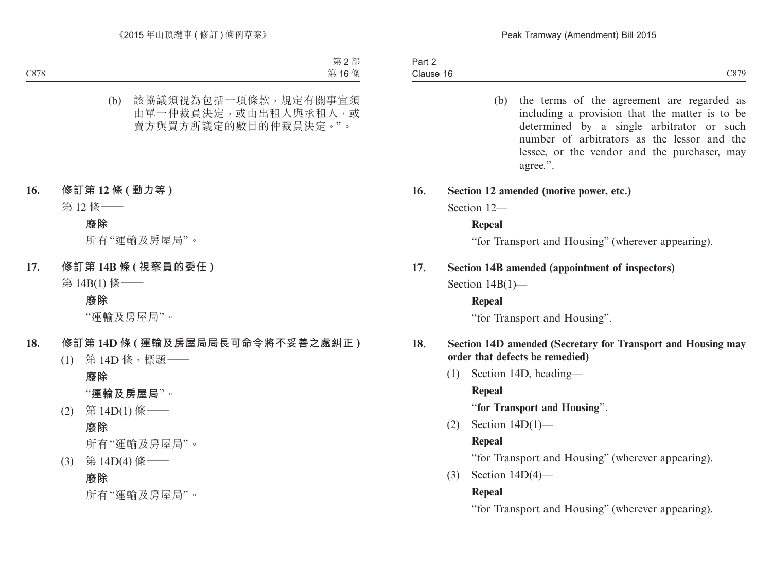(b) the terms of the agreement are regarded as including a provision that the matter is to be determined by a single arbitrator or such number of arbitrators as the lessor and the lessee, or the vendor and the purchaser, may agree.".

#### **16. Section 12 amended (motive power, etc.)**

Section 12—

#### **Repeal**

"for Transport and Housing" (wherever appearing).

#### **17. Section 14B amended (appointment of inspectors)**

Section  $14B(1)$ —

#### **Repeal**

"for Transport and Housing".

#### **18. Section 14D amended (Secretary for Transport and Housing may order that defects be remedied)**

(1) Section 14D, heading— **Repeal**

"**for Transport and Housing**".

(2) Section 14D(1)—

#### **Repeal**

"for Transport and Housing" (wherever appearing).

(3) Section 14D(4)—

#### **Repeal**

"for Transport and Housing" (wherever appearing).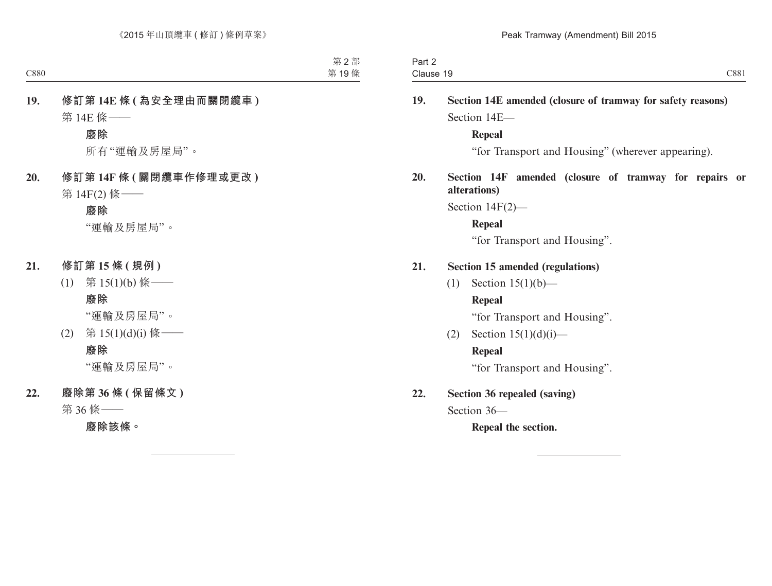| Part 2<br>Clause 19 |                                                             |                                                                     | C881      |  |  |  |  |
|---------------------|-------------------------------------------------------------|---------------------------------------------------------------------|-----------|--|--|--|--|
| 19.                 | Section 14E amended (closure of tramway for safety reasons) |                                                                     |           |  |  |  |  |
|                     |                                                             | Section 14E-                                                        |           |  |  |  |  |
|                     |                                                             | Repeal                                                              |           |  |  |  |  |
|                     |                                                             | "for Transport and Housing" (wherever appearing).                   |           |  |  |  |  |
| 20.                 |                                                             | Section 14F amended (closure of tramway for repairs<br>alterations) | <b>or</b> |  |  |  |  |
|                     | Section $14F(2)$ —                                          |                                                                     |           |  |  |  |  |
|                     |                                                             | <b>Repeal</b>                                                       |           |  |  |  |  |
|                     |                                                             | "for Transport and Housing".                                        |           |  |  |  |  |
| 21.                 | <b>Section 15 amended (regulations)</b>                     |                                                                     |           |  |  |  |  |
|                     | (1)                                                         | Section $15(1)(b)$ —                                                |           |  |  |  |  |
|                     |                                                             | <b>Repeal</b>                                                       |           |  |  |  |  |
|                     |                                                             | "for Transport and Housing".                                        |           |  |  |  |  |
|                     | (2)                                                         | Section $15(1)(d)(i)$ —                                             |           |  |  |  |  |
|                     |                                                             | <b>Repeal</b>                                                       |           |  |  |  |  |
|                     |                                                             | "for Transport and Housing".                                        |           |  |  |  |  |
| 22.                 | <b>Section 36 repealed (saving)</b>                         |                                                                     |           |  |  |  |  |
|                     | Section 36-                                                 |                                                                     |           |  |  |  |  |
|                     |                                                             | Repeal the section.                                                 |           |  |  |  |  |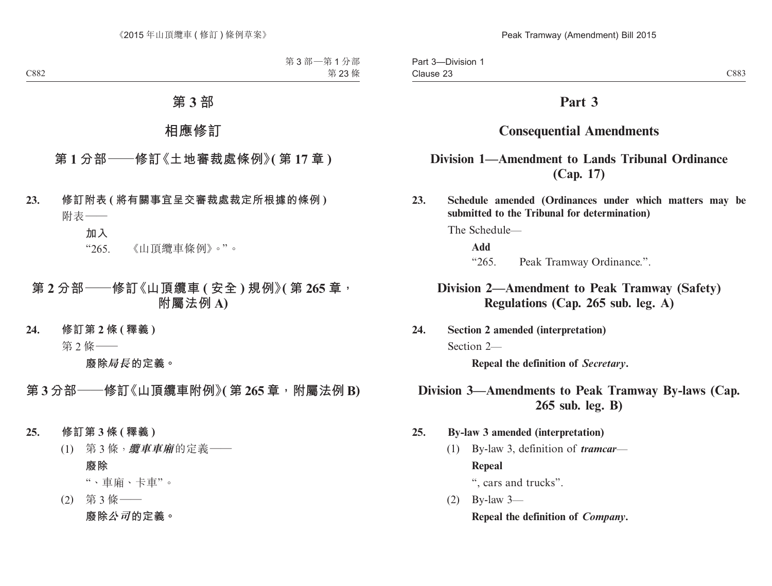## **Part 3**

## **Consequential Amendments**

## **Division 1—Amendment to Lands Tribunal Ordinance (Cap. 17)**

**23. Schedule amended (Ordinances under which matters may be submitted to the Tribunal for determination)**

The Schedule—

**Add**

"265. Peak Tramway Ordinance.".

## **Division 2—Amendment to Peak Tramway (Safety) Regulations (Cap. 265 sub. leg. A)**

**24. Section 2 amended (interpretation)**

Section 2—

**Repeal the definition of** *Secretary***.**

## **Division 3—Amendments to Peak Tramway By-laws (Cap. 265 sub. leg. B)**

- **25. By-law 3 amended (interpretation)**
	- (1) By-law 3, definition of *tramcar* **Repeal** ", cars and trucks".

(2) By-law 3—

**Repeal the definition of** *Company***.**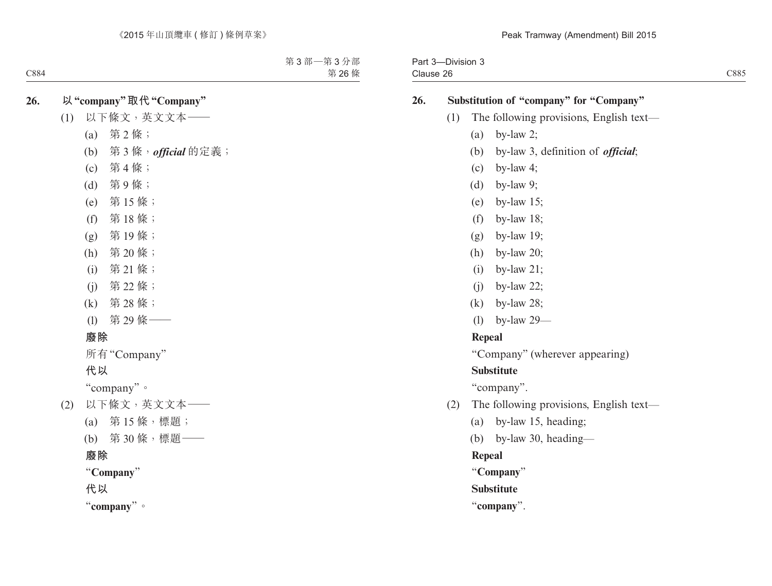Part 3—Division 3 Clause 26

#### **26. Substitution of "company" for "Company"**

- (1) The following provisions, English text—
	- (a) by-law 2;
	- (b) by-law 3, definition of *official*;
	- (c) by-law 4;
	- (d) by-law 9;
	- (e) by-law 15;
	- (f) by-law 18;
	- (g) by-law 19;
	- (h) by-law 20;
	- (i) by-law 21;
	- (j) by-law 22;
	- (k) by-law 28;
	- (l) by-law 29—

#### **Repeal**

"Company" (wherever appearing)

#### **Substitute**

"company".

- (2) The following provisions, English text—
	- (a) by-law 15, heading;
	- (b) by-law 30, heading—

**Repeal**

"**Company**"

**Substitute**

"**company**".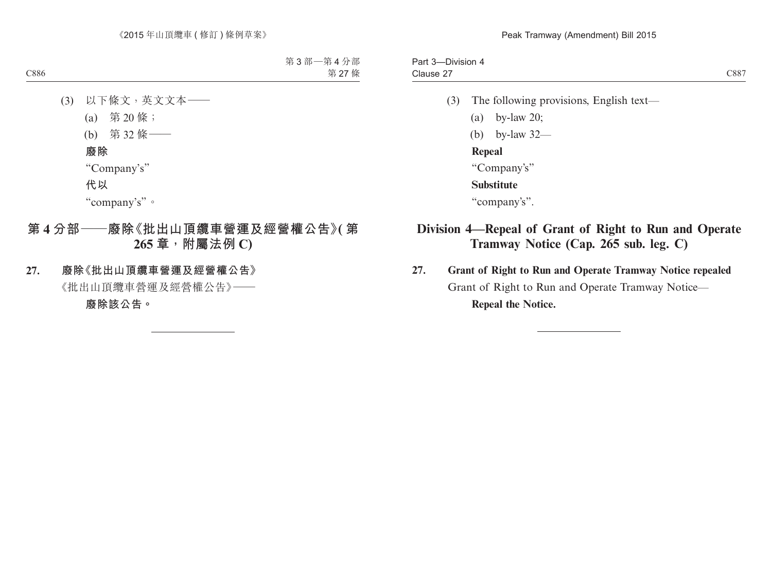```
Part 3—Division 4
Clause 27
```
- (3) The following provisions, English text—
	- (a) by-law 20;
	- (b) by-law 32—

**Repeal**

"Company's"

**Substitute**

"company's".

## **Division 4—Repeal of Grant of Right to Run and Operate Tramway Notice (Cap. 265 sub. leg. C)**

**27. Grant of Right to Run and Operate Tramway Notice repealed** Grant of Right to Run and Operate Tramway Notice— **Repeal the Notice.**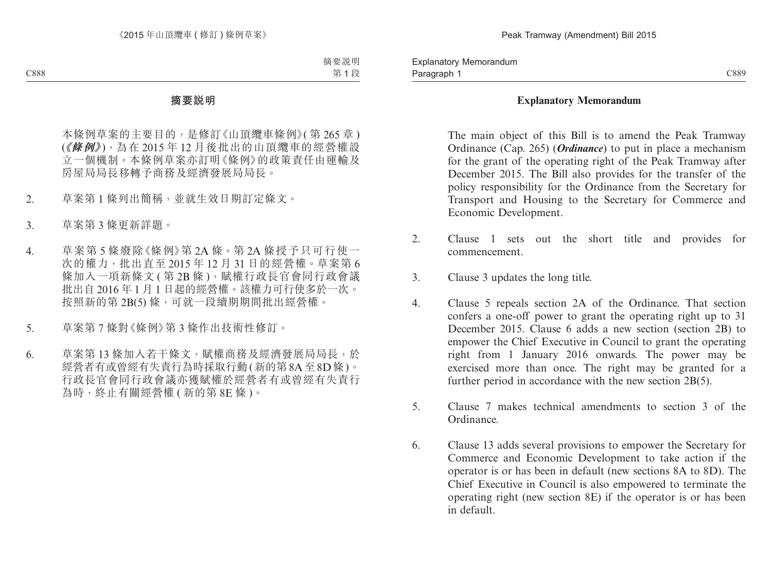#### **Explanatory Memorandum**

The main object of this Bill is to amend the Peak Tramway Ordinance (Cap. 265) (*Ordinance*) to put in place a mechanism for the grant of the operating right of the Peak Tramway after December 2015. The Bill also provides for the transfer of the policy responsibility for the Ordinance from the Secretary for Transport and Housing to the Secretary for Commerce and Economic Development.

- 2. Clause 1 sets out the short title and provides for commencement.
- 3. Clause 3 updates the long title.
- 4. Clause 5 repeals section 2A of the Ordinance. That section confers a one-off power to grant the operating right up to 31 December 2015. Clause 6 adds a new section (section 2B) to empower the Chief Executive in Council to grant the operating right from 1 January 2016 onwards. The power may be exercised more than once. The right may be granted for a further period in accordance with the new section 2B(5).
- 5. Clause 7 makes technical amendments to section 3 of the Ordinance.
- 6. Clause 13 adds several provisions to empower the Secretary for Commerce and Economic Development to take action if the operator is or has been in default (new sections 8A to 8D). The Chief Executive in Council is also empowered to terminate the operating right (new section 8E) if the operator is or has been in default.